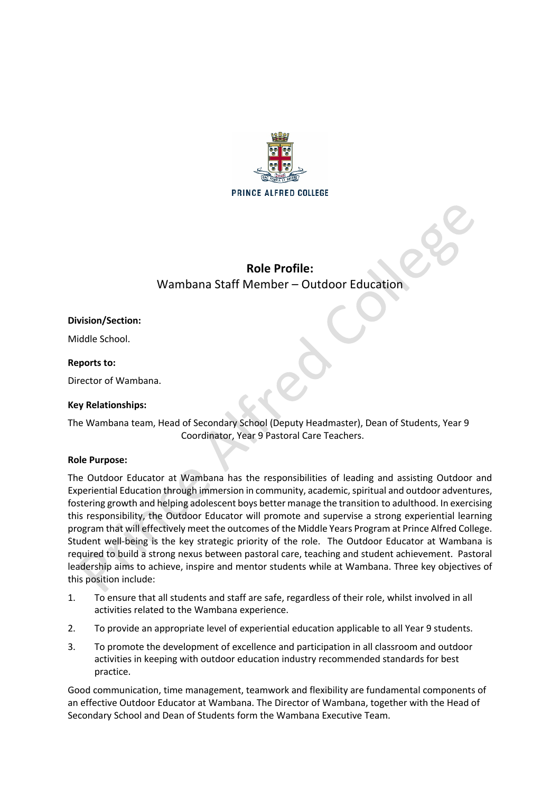

# **Role Profile:** Wambana Staff Member – Outdoor Education

# **Division/Section:**

Middle School.

## **Reports to:**

Director of Wambana.

## **Key Relationships:**

The Wambana team, Head of Secondary School (Deputy Headmaster), Dean of Students, Year 9 Coordinator, Year 9 Pastoral Care Teachers.

#### **Role Purpose:**

The Outdoor Educator at Wambana has the responsibilities of leading and assisting Outdoor and Experiential Education through immersion in community, academic, spiritual and outdoor adventures, fostering growth and helping adolescent boys better manage the transition to adulthood. In exercising this responsibility, the Outdoor Educator will promote and supervise a strong experiential learning program that will effectively meet the outcomes of the Middle Years Program at Prince Alfred College. Student well-being is the key strategic priority of the role. The Outdoor Educator at Wambana is required to build a strong nexus between pastoral care, teaching and student achievement. Pastoral leadership aims to achieve, inspire and mentor students while at Wambana. Three key objectives of this position include:

- 1. To ensure that all students and staff are safe, regardless of their role, whilst involved in all activities related to the Wambana experience.
- 2. To provide an appropriate level of experiential education applicable to all Year 9 students.
- 3. To promote the development of excellence and participation in all classroom and outdoor activities in keeping with outdoor education industry recommended standards for best practice.

Good communication, time management, teamwork and flexibility are fundamental components of an effective Outdoor Educator at Wambana. The Director of Wambana, together with the Head of Secondary School and Dean of Students form the Wambana Executive Team.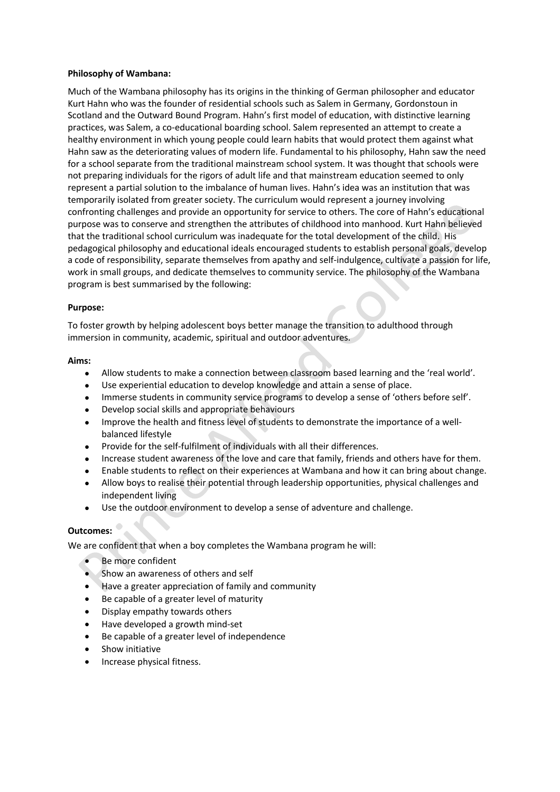## **Philosophy of Wambana:**

Much of the Wambana philosophy has its origins in the thinking of German philosopher and educator Kurt Hahn who was the founder of residential schools such as Salem in Germany, Gordonstoun in Scotland and the Outward Bound Program. Hahn's first model of education, with distinctive learning practices, was Salem, a co-educational boarding school. Salem represented an attempt to create a healthy environment in which young people could learn habits that would protect them against what Hahn saw as the deteriorating values of modern life. Fundamental to his philosophy, Hahn saw the need for a school separate from the traditional mainstream school system. It was thought that schools were not preparing individuals for the rigors of adult life and that mainstream education seemed to only represent a partial solution to the imbalance of human lives. Hahn's idea was an institution that was temporarily isolated from greater society. The curriculum would represent a journey involving confronting challenges and provide an opportunity for service to others. The core of Hahn's educational purpose was to conserve and strengthen the attributes of childhood into manhood. Kurt Hahn believed that the traditional school curriculum was inadequate for the total development of the child. His pedagogical philosophy and educational ideals encouraged students to establish personal goals, develop a code of responsibility, separate themselves from apathy and self-indulgence, cultivate a passion for life, work in small groups, and dedicate themselves to community service. The philosophy of the Wambana program is best summarised by the following:

## **Purpose:**

To foster growth by helping adolescent boys better manage the transition to adulthood through immersion in community, academic, spiritual and outdoor adventures.

#### **Aims:**

- Allow students to make a connection between classroom based learning and the 'real world'.
- Use experiential education to develop knowledge and attain a sense of place.
- Immerse students in community service programs to develop a sense of 'others before self'.
- Develop social skills and appropriate behaviours
- Improve the health and fitness level of students to demonstrate the importance of a wellbalanced lifestyle
- Provide for the self-fulfilment of individuals with all their differences.
- Increase student awareness of the love and care that family, friends and others have for them.
- Enable students to reflect on their experiences at Wambana and how it can bring about change.
- Allow boys to realise their potential through leadership opportunities, physical challenges and independent living
- Use the outdoor environment to develop a sense of adventure and challenge.

#### **Outcomes:**

We are confident that when a boy completes the Wambana program he will:

- Be more confident
- Show an awareness of others and self
- Have a greater appreciation of family and community
- Be capable of a greater level of maturity
- Display empathy towards others
- Have developed a growth mind-set
- Be capable of a greater level of independence
- Show initiative
- Increase physical fitness.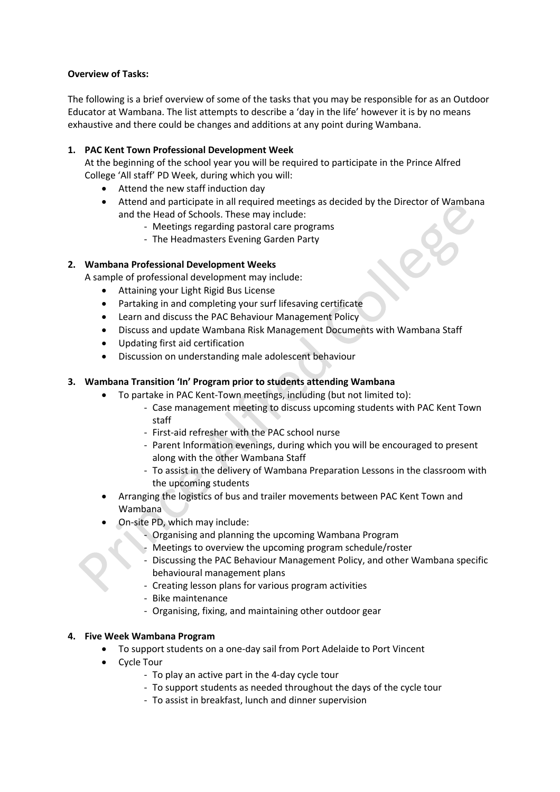## **Overview of Tasks:**

The following is a brief overview of some of the tasks that you may be responsible for as an Outdoor Educator at Wambana. The list attempts to describe a 'day in the life' however it is by no means exhaustive and there could be changes and additions at any point during Wambana.

## **1. PAC Kent Town Professional Development Week**

At the beginning of the school year you will be required to participate in the Prince Alfred College 'All staff' PD Week, during which you will:

- Attend the new staff induction day
- Attend and participate in all required meetings as decided by the Director of Wambana and the Head of Schools. These may include:
	- Meetings regarding pastoral care programs
	- The Headmasters Evening Garden Party

# **2. Wambana Professional Development Weeks**

A sample of professional development may include:

- Attaining your Light Rigid Bus License
- Partaking in and completing your surf lifesaving certificate
- Learn and discuss the PAC Behaviour Management Policy
- Discuss and update Wambana Risk Management Documents with Wambana Staff
- Updating first aid certification
- Discussion on understanding male adolescent behaviour

## **3. Wambana Transition 'In' Program prior to students attending Wambana**

- To partake in PAC Kent-Town meetings, including (but not limited to):
	- Case management meeting to discuss upcoming students with PAC Kent Town staff
	- First-aid refresher with the PAC school nurse
	- Parent Information evenings, during which you will be encouraged to present along with the other Wambana Staff
	- To assist in the delivery of Wambana Preparation Lessons in the classroom with the upcoming students
- Arranging the logistics of bus and trailer movements between PAC Kent Town and Wambana
- On-site PD, which may include:
	- Organising and planning the upcoming Wambana Program
	- Meetings to overview the upcoming program schedule/roster
	- Discussing the PAC Behaviour Management Policy, and other Wambana specific behavioural management plans
	- Creating lesson plans for various program activities
	- Bike maintenance
	- Organising, fixing, and maintaining other outdoor gear

## **4. Five Week Wambana Program**

- To support students on a one-day sail from Port Adelaide to Port Vincent
- **Cycle Tour** 
	- To play an active part in the 4-day cycle tour
	- To support students as needed throughout the days of the cycle tour
	- To assist in breakfast, lunch and dinner supervision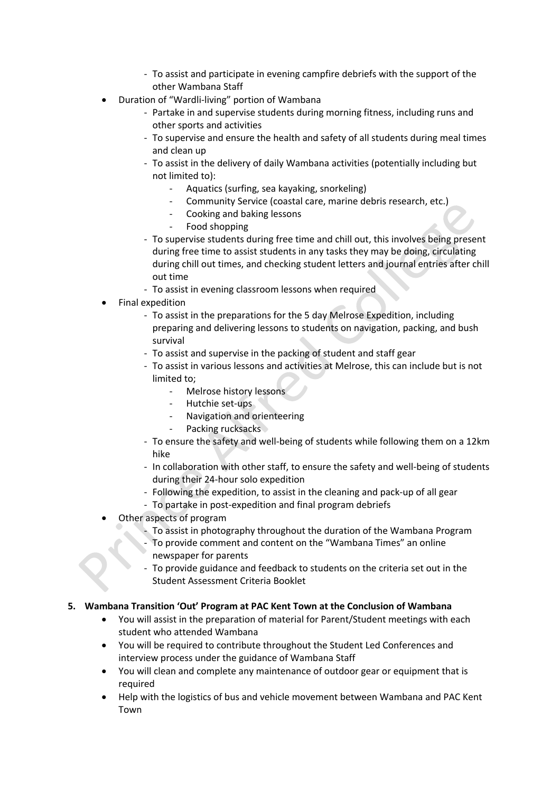- To assist and participate in evening campfire debriefs with the support of the other Wambana Staff
- Duration of "Wardli-living" portion of Wambana
	- Partake in and supervise students during morning fitness, including runs and other sports and activities
	- To supervise and ensure the health and safety of all students during meal times and clean up
	- To assist in the delivery of daily Wambana activities (potentially including but not limited to):
		- Aquatics (surfing, sea kayaking, snorkeling)
		- Community Service (coastal care, marine debris research, etc.)
		- Cooking and baking lessons
		- Food shopping
	- To supervise students during free time and chill out, this involves being present during free time to assist students in any tasks they may be doing, circulating during chill out times, and checking student letters and journal entries after chill out time
	- To assist in evening classroom lessons when required
- Final expedition
	- To assist in the preparations for the 5 day Melrose Expedition, including preparing and delivering lessons to students on navigation, packing, and bush survival
	- To assist and supervise in the packing of student and staff gear
	- To assist in various lessons and activities at Melrose, this can include but is not limited to;
		- Melrose history lessons
		- Hutchie set-ups
		- Navigation and orienteering
		- Packing rucksacks
	- To ensure the safety and well-being of students while following them on a 12km hike
	- In collaboration with other staff, to ensure the safety and well-being of students during their 24-hour solo expedition
	- Following the expedition, to assist in the cleaning and pack-up of all gear
	- To partake in post-expedition and final program debriefs
- Other aspects of program
	- To assist in photography throughout the duration of the Wambana Program - To provide comment and content on the "Wambana Times" an online newspaper for parents
	- To provide guidance and feedback to students on the criteria set out in the Student Assessment Criteria Booklet

# **5. Wambana Transition 'Out' Program at PAC Kent Town at the Conclusion of Wambana**

- You will assist in the preparation of material for Parent/Student meetings with each student who attended Wambana
- You will be required to contribute throughout the Student Led Conferences and interview process under the guidance of Wambana Staff
- You will clean and complete any maintenance of outdoor gear or equipment that is required
- Help with the logistics of bus and vehicle movement between Wambana and PAC Kent Town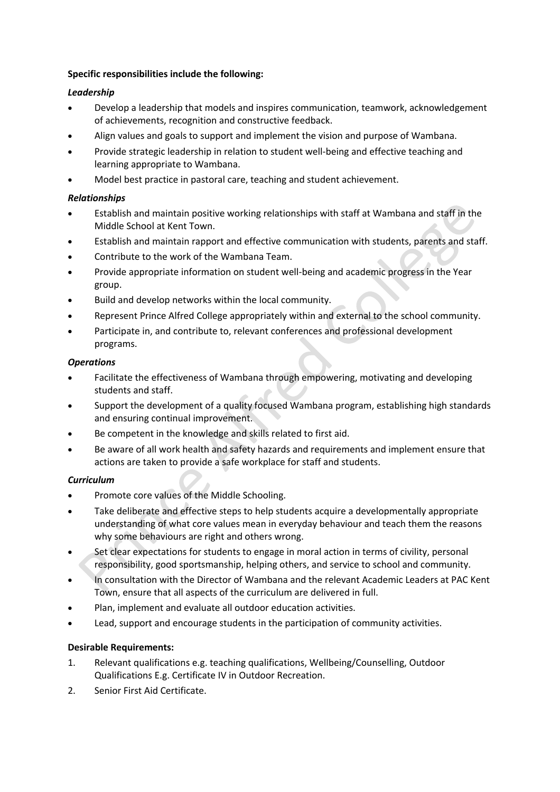# **Specific responsibilities include the following:**

# *Leadership*

- Develop a leadership that models and inspires communication, teamwork, acknowledgement of achievements, recognition and constructive feedback.
- Align values and goals to support and implement the vision and purpose of Wambana.
- Provide strategic leadership in relation to student well-being and effective teaching and learning appropriate to Wambana.
- Model best practice in pastoral care, teaching and student achievement.

# *Relationships*

- Establish and maintain positive working relationships with staff at Wambana and staff in the Middle School at Kent Town.
- Establish and maintain rapport and effective communication with students, parents and staff.
- Contribute to the work of the Wambana Team.
- Provide appropriate information on student well-being and academic progress in the Year group.
- Build and develop networks within the local community.
- Represent Prince Alfred College appropriately within and external to the school community.
- Participate in, and contribute to, relevant conferences and professional development programs.

## *Operations*

- Facilitate the effectiveness of Wambana through empowering, motivating and developing students and staff.
- Support the development of a quality focused Wambana program, establishing high standards and ensuring continual improvement.
- Be competent in the knowledge and skills related to first aid.
- Be aware of all work health and safety hazards and requirements and implement ensure that actions are taken to provide a safe workplace for staff and students.

# *Curriculum*

- Promote core values of the Middle Schooling.
- Take deliberate and effective steps to help students acquire a developmentally appropriate understanding of what core values mean in everyday behaviour and teach them the reasons why some behaviours are right and others wrong.
- Set clear expectations for students to engage in moral action in terms of civility, personal responsibility, good sportsmanship, helping others, and service to school and community.
- In consultation with the Director of Wambana and the relevant Academic Leaders at PAC Kent Town, ensure that all aspects of the curriculum are delivered in full.
- Plan, implement and evaluate all outdoor education activities.
- Lead, support and encourage students in the participation of community activities.

# **Desirable Requirements:**

- 1. Relevant qualifications e.g. teaching qualifications, Wellbeing/Counselling, Outdoor Qualifications E.g. Certificate IV in Outdoor Recreation.
- 2. Senior First Aid Certificate.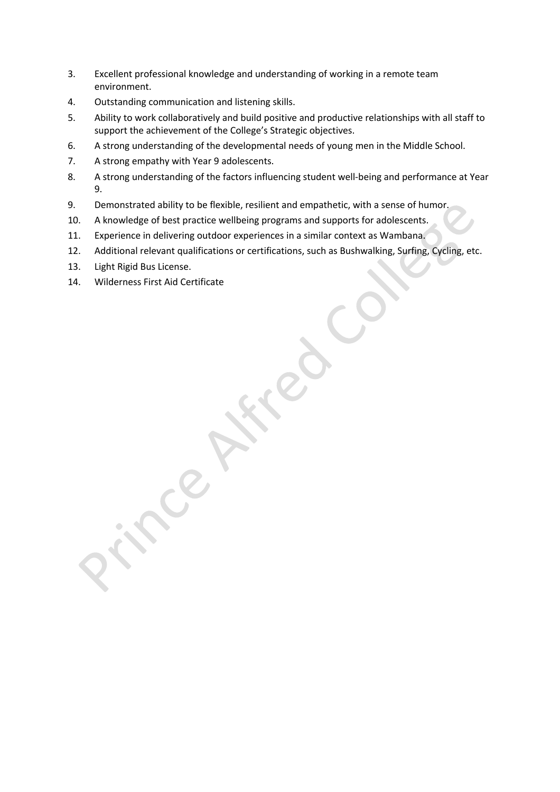- 3. Excellent professional knowledge and understanding of working in a remote team environment.
- 4. Outstanding communication and listening skills.
- 5. Ability to work collaboratively and build positive and productive relationships with all staff to support the achievement of the College's Strategic objectives.
- 6. A strong understanding of the developmental needs of young men in the Middle School.
- 7. A strong empathy with Year 9 adolescents.
- 8. A strong understanding of the factors influencing student well-being and performance at Year 9.
- 9. Demonstrated ability to be flexible, resilient and empathetic, with a sense of humor.
- 10. A knowledge of best practice wellbeing programs and supports for adolescents.
- 11. Experience in delivering outdoor experiences in a similar context as Wambana.
- 12. Additional relevant qualifications or certifications, such as Bushwalking, Surfing, Cycling, etc.
- 13. Light Rigid Bus License.
- 14. Wilderness First Aid Certificate